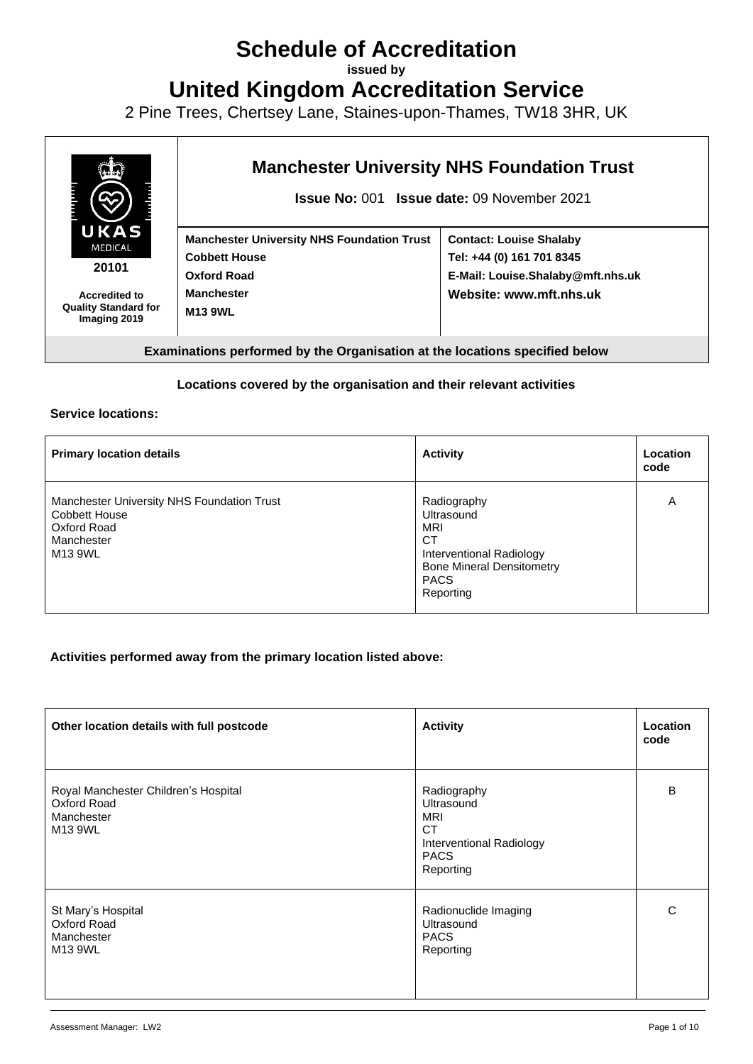# **Schedule of Accreditation**

**issued by**

**United Kingdom Accreditation Service**

2 Pine Trees, Chertsey Lane, Staines-upon-Thames, TW18 3HR, UK



**Examinations performed by the Organisation at the locations specified below**

#### **Locations covered by the organisation and their relevant activities**

#### **Service locations:**

| <b>Primary location details</b>                                                                            | <b>Activity</b>                                                                                                                                  | Location<br>code |
|------------------------------------------------------------------------------------------------------------|--------------------------------------------------------------------------------------------------------------------------------------------------|------------------|
| Manchester University NHS Foundation Trust<br><b>Cobbett House</b><br>Oxford Road<br>Manchester<br>M13 9WL | Radiography<br>Ultrasound<br><b>MRI</b><br><b>CT</b><br>Interventional Radiology<br><b>Bone Mineral Densitometry</b><br><b>PACS</b><br>Reporting | Α                |

#### **Activities performed away from the primary location listed above:**

| Other location details with full postcode                                    | <b>Activity</b>                                                                                              | Location<br>code |
|------------------------------------------------------------------------------|--------------------------------------------------------------------------------------------------------------|------------------|
| Royal Manchester Children's Hospital<br>Oxford Road<br>Manchester<br>M13 9WL | Radiography<br>Ultrasound<br><b>MRI</b><br><b>CT</b><br>Interventional Radiology<br><b>PACS</b><br>Reporting | B                |
| St Mary's Hospital<br>Oxford Road<br>Manchester<br>M13 9WL                   | Radionuclide Imaging<br>Ultrasound<br><b>PACS</b><br>Reporting                                               | С                |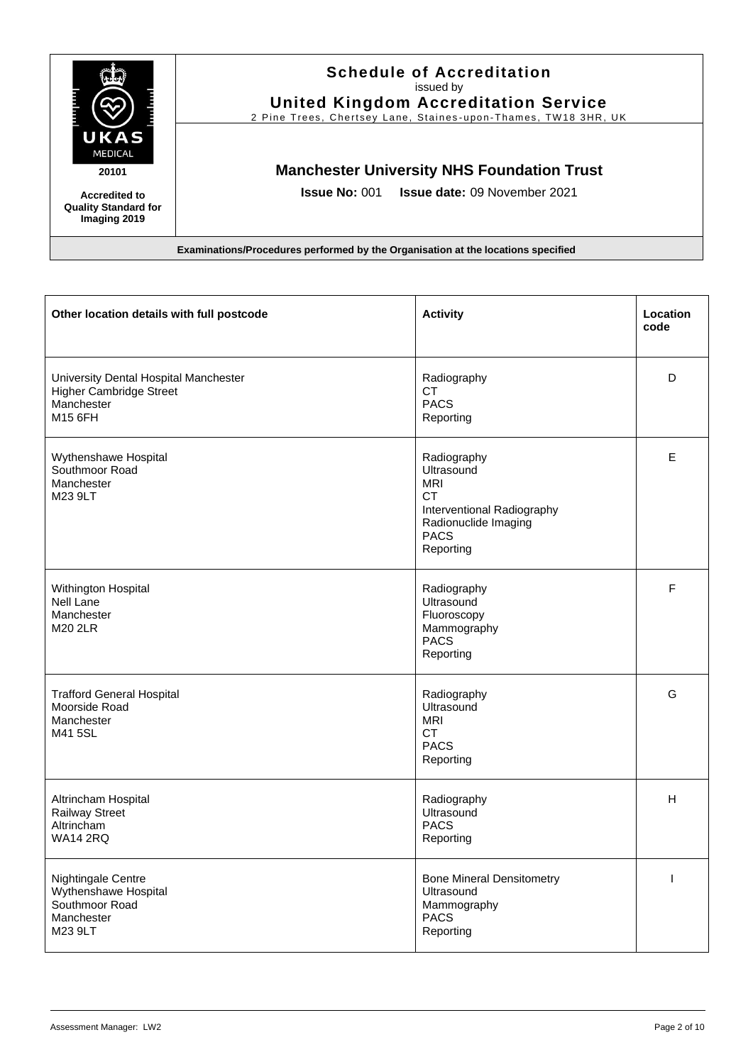

#### **Schedule of Accreditation**  issued by **United Kingdom Accreditation Service**

2 Pine Trees, Chertsey Lane, Staines-upon-Thames, TW18 3HR, UK

# **Manchester University NHS Foundation Trust**

**Issue No:** 001 **Issue date:** 09 November 2021

| Other location details with full postcode                                                        | <b>Activity</b>                                                                                                                        | Location<br>code         |
|--------------------------------------------------------------------------------------------------|----------------------------------------------------------------------------------------------------------------------------------------|--------------------------|
| University Dental Hospital Manchester<br><b>Higher Cambridge Street</b><br>Manchester<br>M15 6FH | Radiography<br>CT<br><b>PACS</b><br>Reporting                                                                                          | D                        |
| Wythenshawe Hospital<br>Southmoor Road<br>Manchester<br>M23 9LT                                  | Radiography<br>Ultrasound<br><b>MRI</b><br><b>CT</b><br>Interventional Radiography<br>Radionuclide Imaging<br><b>PACS</b><br>Reporting | E                        |
| Withington Hospital<br><b>Nell Lane</b><br>Manchester<br>M20 2LR                                 | Radiography<br>Ultrasound<br>Fluoroscopy<br>Mammography<br><b>PACS</b><br>Reporting                                                    | $\mathsf{F}$             |
| <b>Trafford General Hospital</b><br>Moorside Road<br>Manchester<br>M41 5SL                       | Radiography<br>Ultrasound<br><b>MRI</b><br><b>CT</b><br><b>PACS</b><br>Reporting                                                       | G                        |
| Altrincham Hospital<br><b>Railway Street</b><br>Altrincham<br><b>WA14 2RQ</b>                    | Radiography<br>Ultrasound<br><b>PACS</b><br>Reporting                                                                                  | н                        |
| Nightingale Centre<br>Wythenshawe Hospital<br>Southmoor Road<br>Manchester<br>M23 9LT            | <b>Bone Mineral Densitometry</b><br>Ultrasound<br>Mammography<br><b>PACS</b><br>Reporting                                              | $\overline{\phantom{a}}$ |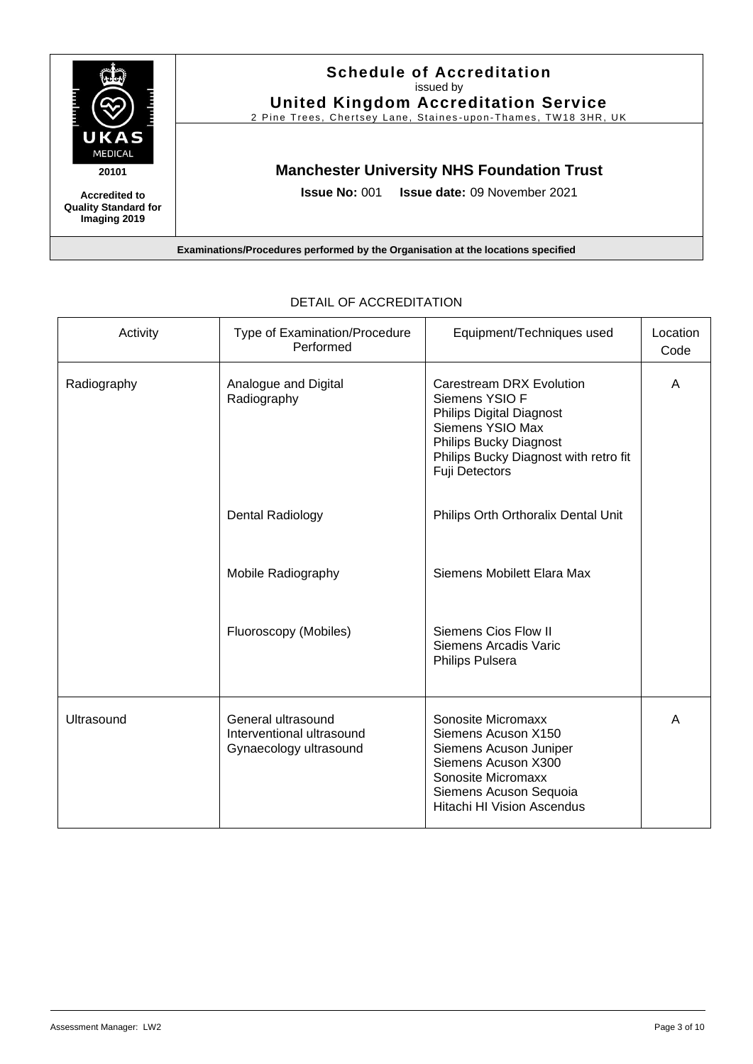

| Activity    | Type of Examination/Procedure<br>Performed                                | Equipment/Techniques used                                                                                                                                                                            | Location<br>Code |
|-------------|---------------------------------------------------------------------------|------------------------------------------------------------------------------------------------------------------------------------------------------------------------------------------------------|------------------|
| Radiography | Analogue and Digital<br>Radiography                                       | <b>Carestream DRX Evolution</b><br>Siemens YSIO F<br><b>Philips Digital Diagnost</b><br>Siemens YSIO Max<br>Philips Bucky Diagnost<br>Philips Bucky Diagnost with retro fit<br><b>Fuji Detectors</b> | A                |
|             | <b>Dental Radiology</b>                                                   | Philips Orth Orthoralix Dental Unit                                                                                                                                                                  |                  |
|             | Mobile Radiography                                                        | Siemens Mobilett Elara Max                                                                                                                                                                           |                  |
|             | Fluoroscopy (Mobiles)                                                     | Siemens Cios Flow II<br>Siemens Arcadis Varic<br>Philips Pulsera                                                                                                                                     |                  |
| Ultrasound  | General ultrasound<br>Interventional ultrasound<br>Gynaecology ultrasound | Sonosite Micromaxx<br>Siemens Acuson X150<br>Siemens Acuson Juniper<br>Siemens Acuson X300<br>Sonosite Micromaxx<br>Siemens Acuson Sequoia<br><b>Hitachi HI Vision Ascendus</b>                      | A                |

#### DETAIL OF ACCREDITATION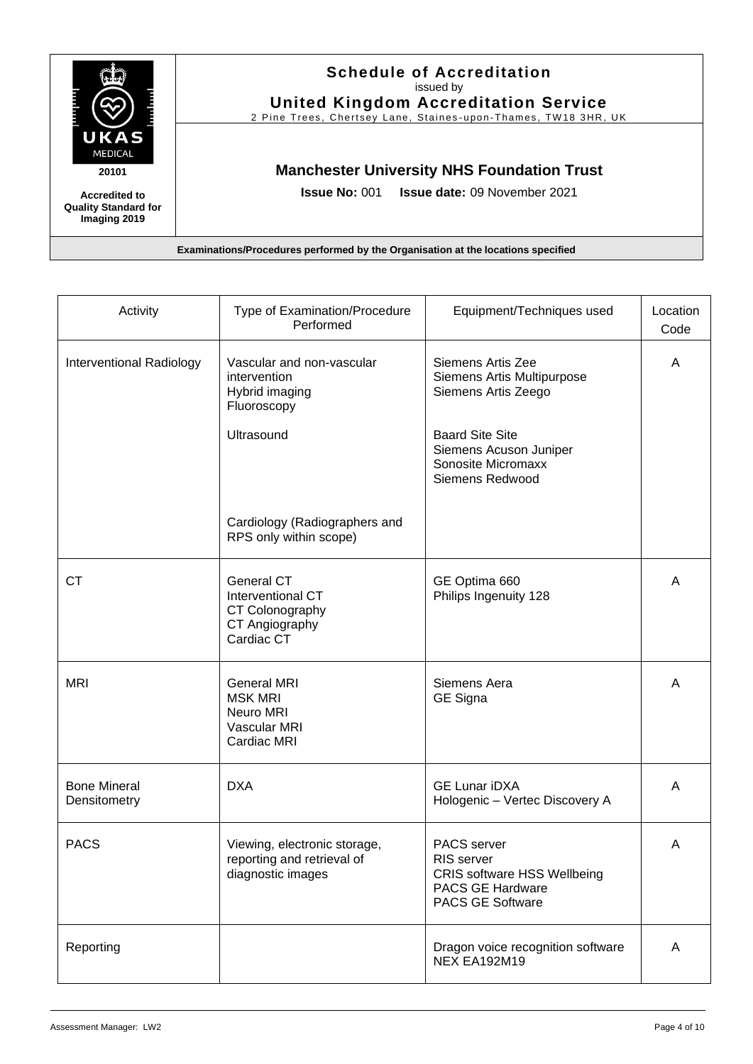

### **Schedule of Accreditation**  issued by **United Kingdom Accreditation Service**

2 Pine Trees, Chertsey Lane, Staines-upon-Thames, TW18 3HR, UK

# **Manchester University NHS Foundation Trust**

**Issue No:** 001 **Issue date:** 09 November 2021

| Activity                            | Type of Examination/Procedure<br>Performed                                         | Equipment/Techniques used                                                                                      | Location<br>Code |
|-------------------------------------|------------------------------------------------------------------------------------|----------------------------------------------------------------------------------------------------------------|------------------|
| Interventional Radiology            | Vascular and non-vascular<br>intervention<br>Hybrid imaging<br>Fluoroscopy         | Siemens Artis Zee<br>Siemens Artis Multipurpose<br>Siemens Artis Zeego                                         | Α                |
|                                     | Ultrasound                                                                         | <b>Baard Site Site</b><br>Siemens Acuson Juniper<br>Sonosite Micromaxx<br>Siemens Redwood                      |                  |
|                                     | Cardiology (Radiographers and<br>RPS only within scope)                            |                                                                                                                |                  |
| <b>CT</b>                           | General CT<br>Interventional CT<br>CT Colonography<br>CT Angiography<br>Cardiac CT | GE Optima 660<br>Philips Ingenuity 128                                                                         | A                |
| <b>MRI</b>                          | <b>General MRI</b><br><b>MSK MRI</b><br>Neuro MRI<br>Vascular MRI<br>Cardiac MRI   | Siemens Aera<br>GE Signa                                                                                       | A                |
| <b>Bone Mineral</b><br>Densitometry | <b>DXA</b>                                                                         | <b>GE Lunar iDXA</b><br>Hologenic - Vertec Discovery A                                                         | Α                |
| <b>PACS</b>                         | Viewing, electronic storage,<br>reporting and retrieval of<br>diagnostic images    | PACS server<br>RIS server<br><b>CRIS software HSS Wellbeing</b><br>PACS GE Hardware<br><b>PACS GE Software</b> | A                |
| Reporting                           |                                                                                    | Dragon voice recognition software<br>NEX EA192M19                                                              | A                |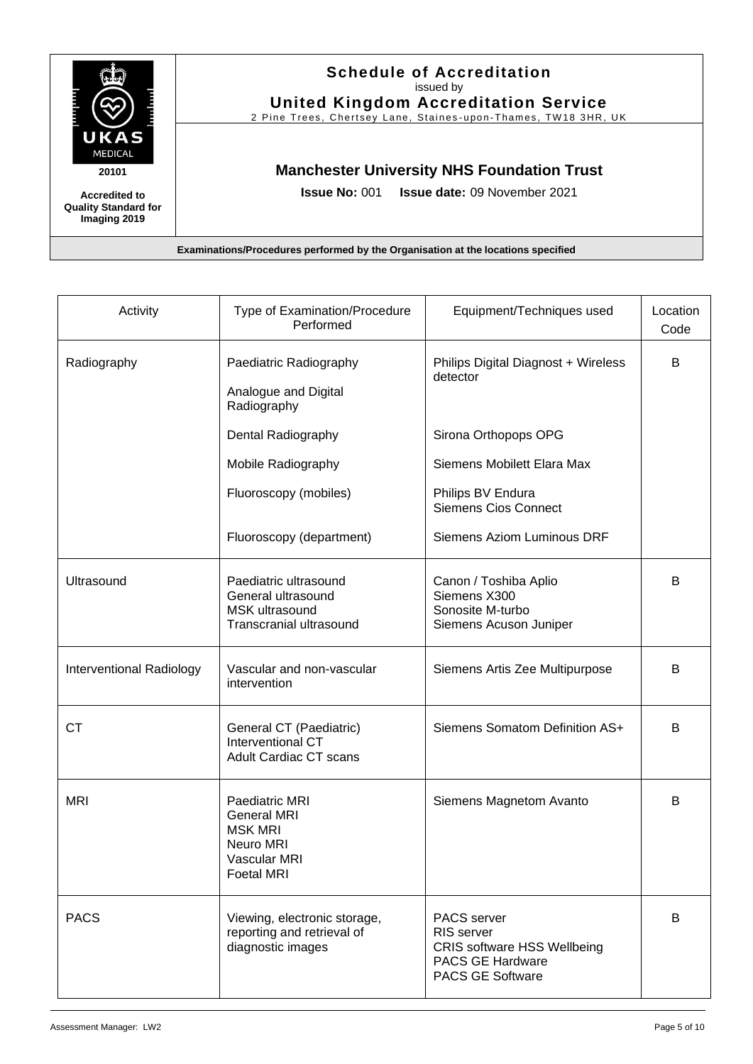

### **Schedule of Accreditation**  issued by **United Kingdom Accreditation Service**

2 Pine Trees, Chertsey Lane, Staines-upon-Thames, TW18 3HR, UK

### **Manchester University NHS Foundation Trust**

**Issue No:** 001 **Issue date:** 09 November 2021

| Activity                 | Type of Examination/Procedure<br>Performed                                                               | Equipment/Techniques used                                                                                      | Location<br>Code |
|--------------------------|----------------------------------------------------------------------------------------------------------|----------------------------------------------------------------------------------------------------------------|------------------|
| Radiography              | Paediatric Radiography<br>Analogue and Digital<br>Radiography                                            | Philips Digital Diagnost + Wireless<br>detector                                                                | B                |
|                          | Dental Radiography                                                                                       | Sirona Orthopops OPG                                                                                           |                  |
|                          | Mobile Radiography                                                                                       | Siemens Mobilett Elara Max                                                                                     |                  |
|                          | Fluoroscopy (mobiles)                                                                                    | Philips BV Endura<br><b>Siemens Cios Connect</b>                                                               |                  |
|                          | Fluoroscopy (department)                                                                                 | <b>Siemens Aziom Luminous DRF</b>                                                                              |                  |
| Ultrasound               | Paediatric ultrasound<br>General ultrasound<br>MSK ultrasound<br>Transcranial ultrasound                 | Canon / Toshiba Aplio<br>Siemens X300<br>Sonosite M-turbo<br>Siemens Acuson Juniper                            | B                |
| Interventional Radiology | Vascular and non-vascular<br>intervention                                                                | Siemens Artis Zee Multipurpose                                                                                 | B                |
| <b>CT</b>                | General CT (Paediatric)<br>Interventional CT<br><b>Adult Cardiac CT scans</b>                            | Siemens Somatom Definition AS+                                                                                 | B                |
| <b>MRI</b>               | Paediatric MRI<br><b>General MRI</b><br><b>MSK MRI</b><br>Neuro MRI<br>Vascular MRI<br><b>Foetal MRI</b> | Siemens Magnetom Avanto                                                                                        | B                |
| <b>PACS</b>              | Viewing, electronic storage,<br>reporting and retrieval of<br>diagnostic images                          | PACS server<br>RIS server<br><b>CRIS software HSS Wellbeing</b><br>PACS GE Hardware<br><b>PACS GE Software</b> | B                |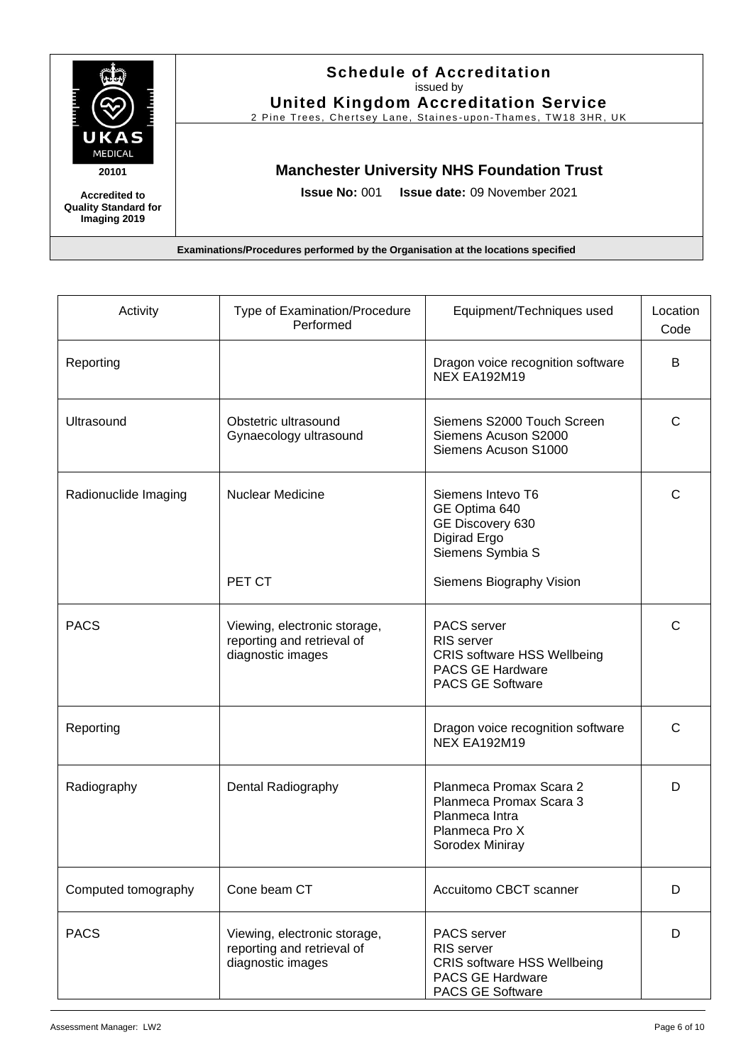

# **Schedule of Accreditation**  issued by

**United Kingdom Accreditation Service** 2 Pine Trees, Chertsey Lane, Staines-upon-Thames, TW18 3HR, UK

# **Manchester University NHS Foundation Trust**

**Issue No:** 001 **Issue date:** 09 November 2021

| Activity             | Type of Examination/Procedure<br>Performed                                      | Equipment/Techniques used                                                                                             | Location<br>Code |
|----------------------|---------------------------------------------------------------------------------|-----------------------------------------------------------------------------------------------------------------------|------------------|
| Reporting            |                                                                                 | Dragon voice recognition software<br><b>NEX EA192M19</b>                                                              | B                |
| Ultrasound           | Obstetric ultrasound<br>Gynaecology ultrasound                                  | Siemens S2000 Touch Screen<br>Siemens Acuson S2000<br>Siemens Acuson S1000                                            | С                |
| Radionuclide Imaging | <b>Nuclear Medicine</b>                                                         | Siemens Intevo T6<br>GE Optima 640<br>GE Discovery 630<br>Digirad Ergo<br>Siemens Symbia S                            | C                |
|                      | PET CT                                                                          | Siemens Biography Vision                                                                                              |                  |
| <b>PACS</b>          | Viewing, electronic storage,<br>reporting and retrieval of<br>diagnostic images | PACS server<br>RIS server<br><b>CRIS software HSS Wellbeing</b><br><b>PACS GE Hardware</b><br><b>PACS GE Software</b> | C                |
| Reporting            |                                                                                 | Dragon voice recognition software<br><b>NEX EA192M19</b>                                                              | C                |
| Radiography          | Dental Radiography                                                              | Planmeca Promax Scara 2<br>Planmeca Promax Scara 3<br>Planmeca Intra<br>Planmeca Pro X<br>Sorodex Miniray             | D                |
| Computed tomography  | Cone beam CT                                                                    | Accuitomo CBCT scanner                                                                                                | D                |
| <b>PACS</b>          | Viewing, electronic storage,<br>reporting and retrieval of<br>diagnostic images | <b>PACS</b> server<br>RIS server<br><b>CRIS software HSS Wellbeing</b><br>PACS GE Hardware<br><b>PACS GE Software</b> | D                |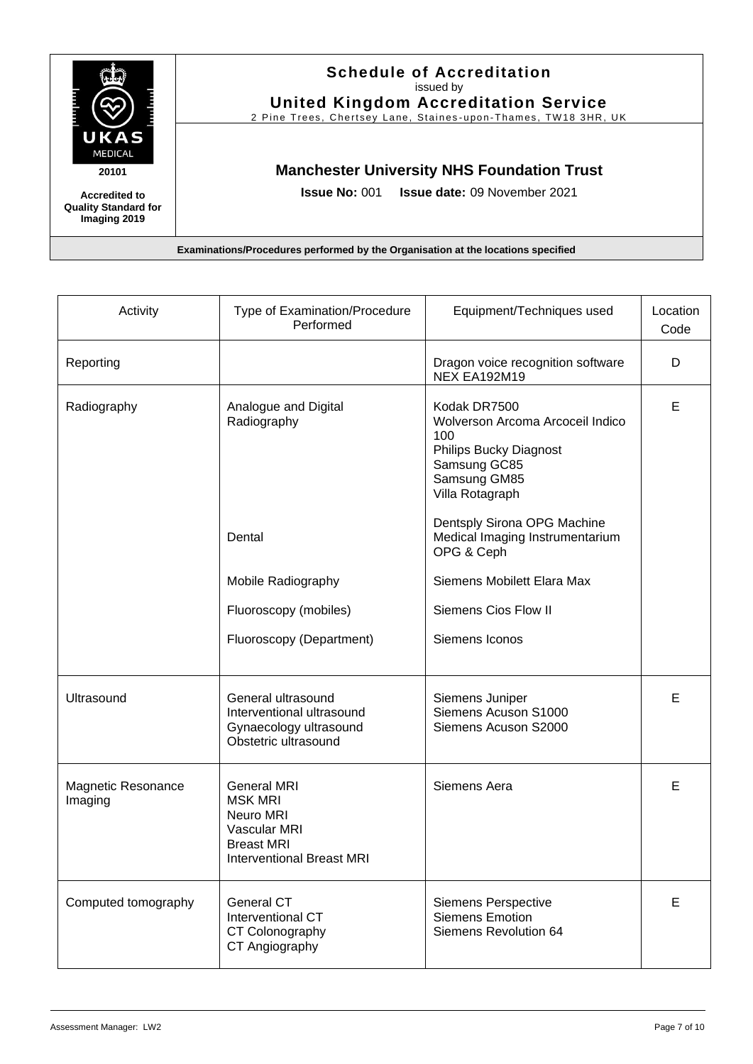

### **Schedule of Accreditation**  issued by **United Kingdom Accreditation Service**

2 Pine Trees, Chertsey Lane, Staines-upon-Thames, TW18 3HR, UK

# **Manchester University NHS Foundation Trust**

**Issue No:** 001 **Issue date:** 09 November 2021

| Activity                      | Type of Examination/Procedure<br>Performed                                                                          | Equipment/Techniques used                                                                                                            | Location<br>Code |
|-------------------------------|---------------------------------------------------------------------------------------------------------------------|--------------------------------------------------------------------------------------------------------------------------------------|------------------|
| Reporting                     |                                                                                                                     | Dragon voice recognition software<br>NEX EA192M19                                                                                    | D                |
| Radiography                   | Analogue and Digital<br>Radiography                                                                                 | Kodak DR7500<br>Wolverson Arcoma Arcoceil Indico<br>100<br>Philips Bucky Diagnost<br>Samsung GC85<br>Samsung GM85<br>Villa Rotagraph | E                |
|                               | Dental                                                                                                              | Dentsply Sirona OPG Machine<br>Medical Imaging Instrumentarium<br>OPG & Ceph                                                         |                  |
|                               | Mobile Radiography                                                                                                  | Siemens Mobilett Elara Max                                                                                                           |                  |
|                               | Fluoroscopy (mobiles)                                                                                               | Siemens Cios Flow II                                                                                                                 |                  |
|                               | Fluoroscopy (Department)                                                                                            | Siemens Iconos                                                                                                                       |                  |
| Ultrasound                    | General ultrasound<br>Interventional ultrasound<br>Gynaecology ultrasound<br>Obstetric ultrasound                   | Siemens Juniper<br>Siemens Acuson S1000<br>Siemens Acuson S2000                                                                      | E                |
| Magnetic Resonance<br>Imaging | <b>General MRI</b><br><b>MSK MRI</b><br>Neuro MRI<br>Vascular MRI<br><b>Breast MRI</b><br>Interventional Breast MRI | Siemens Aera                                                                                                                         | E                |
| Computed tomography           | General CT<br>Interventional CT<br>CT Colonography<br>CT Angiography                                                | Siemens Perspective<br><b>Siemens Emotion</b><br>Siemens Revolution 64                                                               | Е                |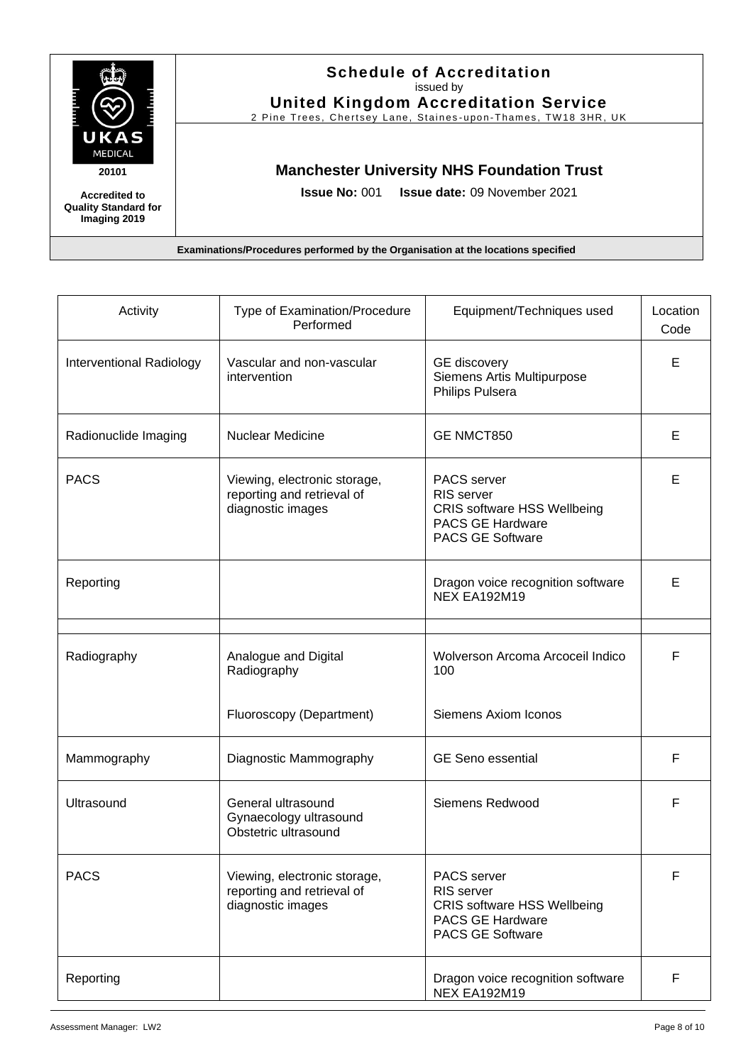

# **Schedule of Accreditation**  issued by

**United Kingdom Accreditation Service** 2 Pine Trees, Chertsey Lane, Staines-upon-Thames, TW18 3HR, UK

# **Manchester University NHS Foundation Trust**

**Issue No:** 001 **Issue date:** 09 November 2021

| Activity                 | Type of Examination/Procedure<br>Performed                                      | Equipment/Techniques used                                                                                                           | Location<br>Code |
|--------------------------|---------------------------------------------------------------------------------|-------------------------------------------------------------------------------------------------------------------------------------|------------------|
| Interventional Radiology | Vascular and non-vascular<br>intervention                                       | <b>GE</b> discovery<br>Siemens Artis Multipurpose<br>Philips Pulsera                                                                | Е                |
| Radionuclide Imaging     | Nuclear Medicine                                                                | <b>GE NMCT850</b>                                                                                                                   | Е                |
| <b>PACS</b>              | Viewing, electronic storage,<br>reporting and retrieval of<br>diagnostic images | <b>PACS</b> server<br><b>RIS</b> server<br><b>CRIS software HSS Wellbeing</b><br><b>PACS GE Hardware</b><br><b>PACS GE Software</b> | Е                |
| Reporting                |                                                                                 | Dragon voice recognition software<br><b>NEX EA192M19</b>                                                                            | Е                |
| Radiography              | Analogue and Digital<br>Radiography                                             | Wolverson Arcoma Arcoceil Indico<br>100                                                                                             | F                |
|                          | Fluoroscopy (Department)                                                        | <b>Siemens Axiom Iconos</b>                                                                                                         |                  |
| Mammography              | Diagnostic Mammography                                                          | <b>GE Seno essential</b>                                                                                                            | F                |
| Ultrasound               | General ultrasound<br>Gynaecology ultrasound<br>Obstetric ultrasound            | Siemens Redwood                                                                                                                     | F                |
| <b>PACS</b>              | Viewing, electronic storage,<br>reporting and retrieval of<br>diagnostic images | PACS server<br>RIS server<br><b>CRIS software HSS Wellbeing</b><br><b>PACS GE Hardware</b><br><b>PACS GE Software</b>               | F                |
| Reporting                |                                                                                 | Dragon voice recognition software<br><b>NEX EA192M19</b>                                                                            | F                |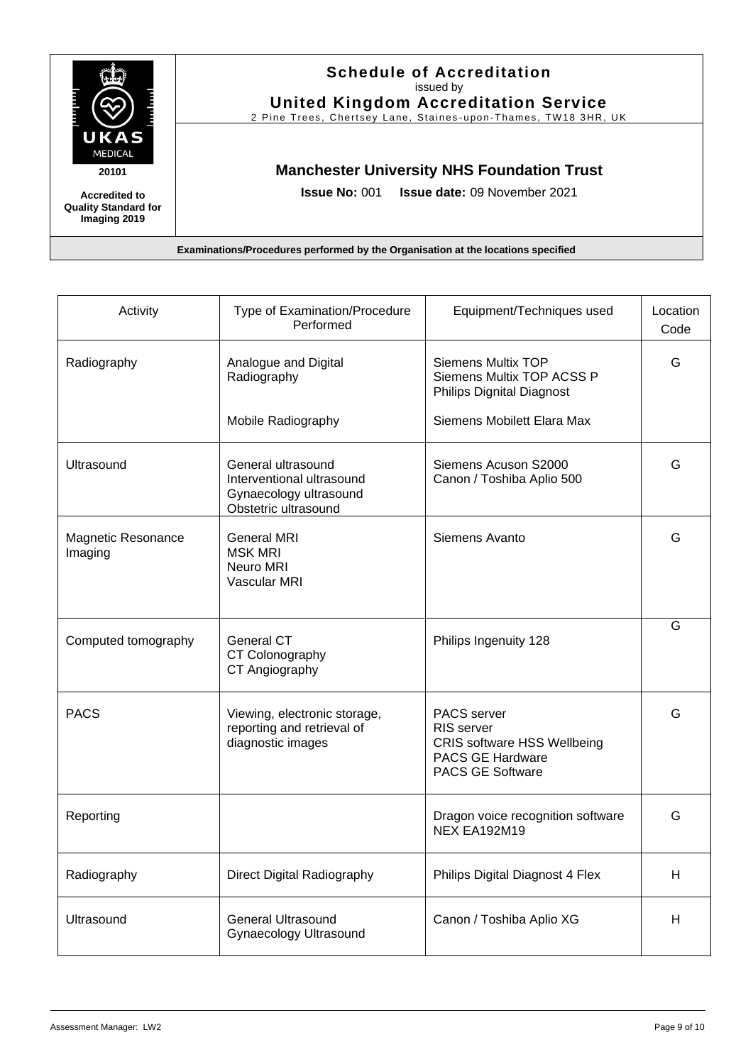

# **Schedule of Accreditation**  issued by

**United Kingdom Accreditation Service** 2 Pine Trees, Chertsey Lane, Staines-upon-Thames, TW18 3HR, UK

# **Manchester University NHS Foundation Trust**

**Issue No:** 001 **Issue date:** 09 November 2021

| Activity                      | Type of Examination/Procedure<br>Performed                                                        | Equipment/Techniques used                                                                                             | Location<br>Code |
|-------------------------------|---------------------------------------------------------------------------------------------------|-----------------------------------------------------------------------------------------------------------------------|------------------|
| Radiography                   | Analogue and Digital<br>Radiography                                                               | <b>Siemens Multix TOP</b><br>Siemens Multix TOP ACSS P<br><b>Philips Dignital Diagnost</b>                            | G                |
|                               | Mobile Radiography                                                                                | Siemens Mobilett Elara Max                                                                                            |                  |
| Ultrasound                    | General ultrasound<br>Interventional ultrasound<br>Gynaecology ultrasound<br>Obstetric ultrasound | Siemens Acuson S2000<br>Canon / Toshiba Aplio 500                                                                     | G                |
| Magnetic Resonance<br>Imaging | <b>General MRI</b><br><b>MSK MRI</b><br>Neuro MRI<br>Vascular MRI                                 | Siemens Avanto                                                                                                        | G                |
| Computed tomography           | General CT<br>CT Colonography<br>CT Angiography                                                   | Philips Ingenuity 128                                                                                                 | G                |
| <b>PACS</b>                   | Viewing, electronic storage,<br>reporting and retrieval of<br>diagnostic images                   | PACS server<br>RIS server<br><b>CRIS software HSS Wellbeing</b><br><b>PACS GE Hardware</b><br><b>PACS GE Software</b> | G                |
| Reporting                     |                                                                                                   | Dragon voice recognition software<br><b>NEX EA192M19</b>                                                              | G                |
| Radiography                   | Direct Digital Radiography                                                                        | Philips Digital Diagnost 4 Flex                                                                                       | H.               |
| Ultrasound                    | <b>General Ultrasound</b><br>Gynaecology Ultrasound                                               | Canon / Toshiba Aplio XG                                                                                              | H                |